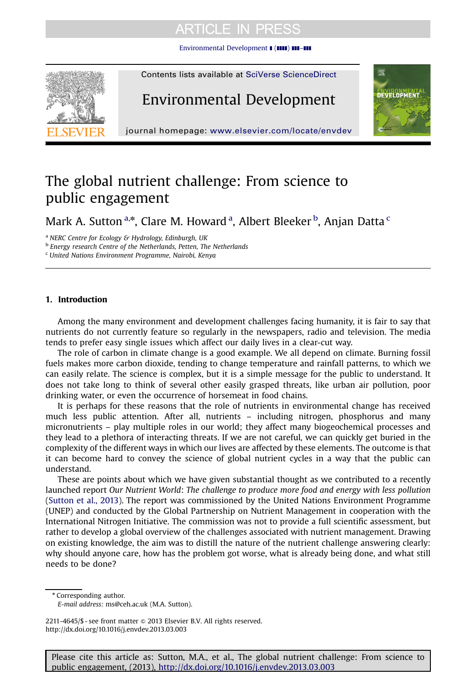## **ARTICLE IN PRESS**

[Environmental Development](dx.doi.org/10.1016/j.envdev.2013.03.003)  $\blacksquare$  ( $\blacksquare\blacksquare$ )  $\blacksquare\blacksquare\blacksquare\blacksquare$ 



# The global nutrient challenge: From science to public engagement

Mark A. Sutton<sup>a,\*</sup>, Clare M. Howard<sup>a</sup>, Albert Bleeker <sup>b</sup>, Anjan Datta <sup>c</sup>

a NERC Centre for Ecology & Hydrology, Edinburgh, UK

**b** Energy research Centre of the Netherlands, Petten, The Netherlands

<sup>c</sup> United Nations Environment Programme, Nairobi, Kenya

## 1. Introduction

Among the many environment and development challenges facing humanity, it is fair to say that nutrients do not currently feature so regularly in the newspapers, radio and television. The media tends to prefer easy single issues which affect our daily lives in a clear-cut way.

The role of carbon in climate change is a good example. We all depend on climate. Burning fossil fuels makes more carbon dioxide, tending to change temperature and rainfall patterns, to which we can easily relate. The science is complex, but it is a simple message for the public to understand. It does not take long to think of several other easily grasped threats, like urban air pollution, poor drinking water, or even the occurrence of horsemeat in food chains.

It is perhaps for these reasons that the role of nutrients in environmental change has received much less public attention. After all, nutrients – including nitrogen, phosphorus and many micronutrients – play multiple roles in our world; they affect many biogeochemical processes and they lead to a plethora of interacting threats. If we are not careful, we can quickly get buried in the complexity of the different ways in which our lives are affected by these elements. The outcome is that it can become hard to convey the science of global nutrient cycles in a way that the public can understand.

These are points about which we have given substantial thought as we contributed to a recently launched report Our Nutrient World: The challenge to produce more food and energy with less pollution [\(Sutton et al., 2013\)](#page-5-0). The report was commissioned by the United Nations Environment Programme (UNEP) and conducted by the Global Partnership on Nutrient Management in cooperation with the International Nitrogen Initiative. The commission was not to provide a full scientific assessment, but rather to develop a global overview of the challenges associated with nutrient management. Drawing on existing knowledge, the aim was to distill the nature of the nutrient challenge answering clearly: why should anyone care, how has the problem got worse, what is already being done, and what still needs to be done?

\* Corresponding author.

2211-4645/\$ - see front matter @ 2013 Elsevier B.V. All rights reserved. [http://dx.doi.org/10.1016/j.envdev.2013.03.003](dx.doi.org/10.1016/j.envdev.2013.03.003)

E-mail address: [ms@ceh.ac.uk \(M.A. Sutton\).](mailto:ms@ceh.ac.uk)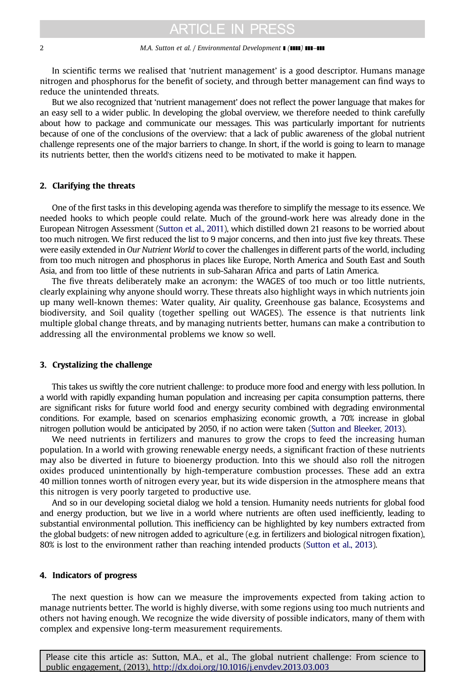#### 2 M.A. Sutton et al. / Environmental Development ■ (IIII) III-III

In scientific terms we realised that 'nutrient management' is a good descriptor. Humans manage nitrogen and phosphorus for the benefit of society, and through better management can find ways to reduce the unintended threats.

But we also recognized that 'nutrient management' does not reflect the power language that makes for an easy sell to a wider public. In developing the global overview, we therefore needed to think carefully about how to package and communicate our messages. This was particularly important for nutrients because of one of the conclusions of the overview: that a lack of public awareness of the global nutrient challenge represents one of the major barriers to change. In short, if the world is going to learn to manage its nutrients better, then the world's citizens need to be motivated to make it happen.

## 2. Clarifying the threats

One of the first tasks in this developing agenda was therefore to simplify the message to its essence. We needed hooks to which people could relate. Much of the ground-work here was already done in the European Nitrogen Assessment [\(Sutton et al., 2011\)](#page-5-0), which distilled down 21 reasons to be worried about too much nitrogen. We first reduced the list to 9 major concerns, and then into just five key threats. These were easily extended in Our Nutrient World to cover the challenges in different parts of the world, including from too much nitrogen and phosphorus in places like Europe, North America and South East and South Asia, and from too little of these nutrients in sub-Saharan Africa and parts of Latin America.

The five threats deliberately make an acronym: the WAGES of too much or too little nutrients, clearly explaining why anyone should worry. These threats also highlight ways in which nutrients join up many well-known themes: Water quality, Air quality, Greenhouse gas balance, Ecosystems and biodiversity, and Soil quality (together spelling out WAGES). The essence is that nutrients link multiple global change threats, and by managing nutrients better, humans can make a contribution to addressing all the environmental problems we know so well.

### 3. Crystalizing the challenge

This takes us swiftly the core nutrient challenge: to produce more food and energy with less pollution. In a world with rapidly expanding human population and increasing per capita consumption patterns, there are significant risks for future world food and energy security combined with degrading environmental conditions. For example, based on scenarios emphasizing economic growth, a 70% increase in global nitrogen pollution would be anticipated by 2050, if no action were taken [\(Sutton and Bleeker, 2013](#page-5-0)).

We need nutrients in fertilizers and manures to grow the crops to feed the increasing human population. In a world with growing renewable energy needs, a significant fraction of these nutrients may also be diverted in future to bioenergy production. Into this we should also roll the nitrogen oxides produced unintentionally by high-temperature combustion processes. These add an extra 40 million tonnes worth of nitrogen every year, but its wide dispersion in the atmosphere means that this nitrogen is very poorly targeted to productive use.

And so in our developing societal dialog we hold a tension. Humanity needs nutrients for global food and energy production, but we live in a world where nutrients are often used inefficiently, leading to substantial environmental pollution. This inefficiency can be highlighted by key numbers extracted from the global budgets: of new nitrogen added to agriculture (e.g. in fertilizers and biological nitrogen fixation), 80% is lost to the environment rather than reaching intended products [\(Sutton et al., 2013](#page-5-0)).

## 4. Indicators of progress

The next question is how can we measure the improvements expected from taking action to manage nutrients better. The world is highly diverse, with some regions using too much nutrients and others not having enough. We recognize the wide diversity of possible indicators, many of them with complex and expensive long-term measurement requirements.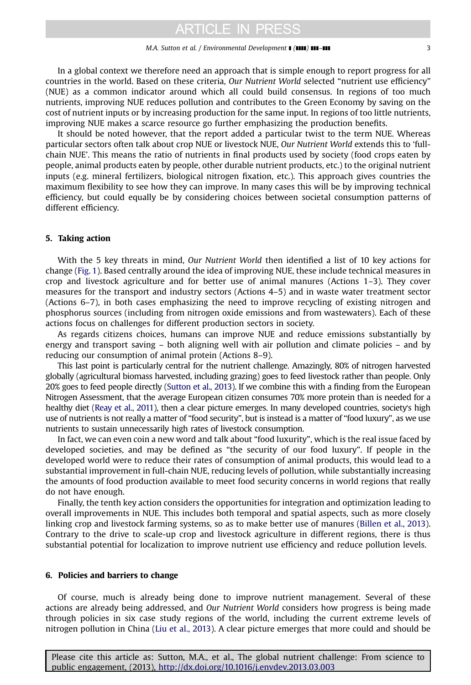#### $M.A.$  Sutton et al. / Environmental Development  $\blacksquare$  ( $\blacksquare \blacksquare \blacksquare \blacksquare \blacksquare$ ) 3

In a global context we therefore need an approach that is simple enough to report progress for all countries in the world. Based on these criteria, Our Nutrient World selected "nutrient use efficiency" (NUE) as a common indicator around which all could build consensus. In regions of too much nutrients, improving NUE reduces pollution and contributes to the Green Economy by saving on the cost of nutrient inputs or by increasing production for the same input. In regions of too little nutrients, improving NUE makes a scarce resource go further emphasizing the production benefits.

It should be noted however, that the report added a particular twist to the term NUE. Whereas particular sectors often talk about crop NUE or livestock NUE, Our Nutrient World extends this to 'fullchain NUE'. This means the ratio of nutrients in final products used by society (food crops eaten by people, animal products eaten by people, other durable nutrient products, etc.) to the original nutrient inputs (e.g. mineral fertilizers, biological nitrogen fixation, etc.). This approach gives countries the maximum flexibility to see how they can improve. In many cases this will be by improving technical efficiency, but could equally be by considering choices between societal consumption patterns of different efficiency.

### 5. Taking action

With the 5 key threats in mind, Our Nutrient World then identified a list of 10 key actions for change [\(Fig. 1](#page-3-0)). Based centrally around the idea of improving NUE, these include technical measures in crop and livestock agriculture and for better use of animal manures (Actions 1–3). They cover measures for the transport and industry sectors (Actions 4–5) and in waste water treatment sector (Actions 6–7), in both cases emphasizing the need to improve recycling of existing nitrogen and phosphorus sources (including from nitrogen oxide emissions and from wastewaters). Each of these actions focus on challenges for different production sectors in society.

As regards citizens choices, humans can improve NUE and reduce emissions substantially by energy and transport saving – both aligning well with air pollution and climate policies – and by reducing our consumption of animal protein (Actions 8–9).

This last point is particularly central for the nutrient challenge. Amazingly, 80% of nitrogen harvested globally (agricultural biomass harvested, including grazing) goes to feed livestock rather than people. Only 20% goes to feed people directly [\(Sutton et al., 2013](#page-5-0)). If we combine this with a finding from the European Nitrogen Assessment, that the average European citizen consumes 70% more protein than is needed for a healthy diet [\(Reay et al., 2011\)](#page-5-0), then a clear picture emerges. In many developed countries, society's high use of nutrients is not really a matter of "food security", but is instead is a matter of "food luxury", as we use nutrients to sustain unnecessarily high rates of livestock consumption.

In fact, we can even coin a new word and talk about "food luxurity", which is the real issue faced by developed societies, and may be defined as "the security of our food luxury". If people in the developed world were to reduce their rates of consumption of animal products, this would lead to a substantial improvement in full-chain NUE, reducing levels of pollution, while substantially increasing the amounts of food production available to meet food security concerns in world regions that really do not have enough.

Finally, the tenth key action considers the opportunities for integration and optimization leading to overall improvements in NUE. This includes both temporal and spatial aspects, such as more closely linking crop and livestock farming systems, so as to make better use of manures ([Billen et al., 2013\)](#page-5-0). Contrary to the drive to scale-up crop and livestock agriculture in different regions, there is thus substantial potential for localization to improve nutrient use efficiency and reduce pollution levels.

## 6. Policies and barriers to change

Of course, much is already being done to improve nutrient management. Several of these actions are already being addressed, and Our Nutrient World considers how progress is being made through policies in six case study regions of the world, including the current extreme levels of nitrogen pollution in China [\(Liu et al., 2013\)](#page-5-0). A clear picture emerges that more could and should be

Please cite this article as: Sutton, M.A., et al., The global nutrient challenge: From science to public engagement, (2013), [http://dx.doi.org/10.1016/j.envdev.2013.03.003](dx.doi.org/10.1016/j.envdev.2013.03.003)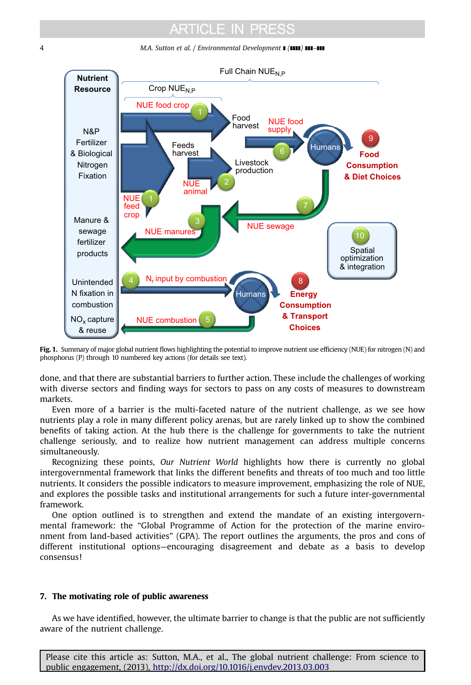## **ARTICLE IN PRESS**

#### <span id="page-3-0"></span>4 M.A. Sutton et al. / Environmental Development ■ (1111) 111-111



Fig. 1. Summary of major global nutrient flows highlighting the potential to improve nutrient use efficiency (NUE) for nitrogen (N) and phosphorus (P) through 10 numbered key actions (for details see text).

done, and that there are substantial barriers to further action. These include the challenges of working with diverse sectors and finding ways for sectors to pass on any costs of measures to downstream markets.

Even more of a barrier is the multi-faceted nature of the nutrient challenge, as we see how nutrients play a role in many different policy arenas, but are rarely linked up to show the combined benefits of taking action. At the hub there is the challenge for governments to take the nutrient challenge seriously, and to realize how nutrient management can address multiple concerns simultaneously.

Recognizing these points, Our Nutrient World highlights how there is currently no global intergovernmental framework that links the different benefits and threats of too much and too little nutrients. It considers the possible indicators to measure improvement, emphasizing the role of NUE, and explores the possible tasks and institutional arrangements for such a future inter-governmental framework.

One option outlined is to strengthen and extend the mandate of an existing intergovernmental framework: the "Global Programme of Action for the protection of the marine environment from land-based activities" (GPA). The report outlines the arguments, the pros and cons of different institutional options—encouraging disagreement and debate as a basis to develop consensus!

## 7. The motivating role of public awareness

As we have identified, however, the ultimate barrier to change is that the public are not sufficiently aware of the nutrient challenge.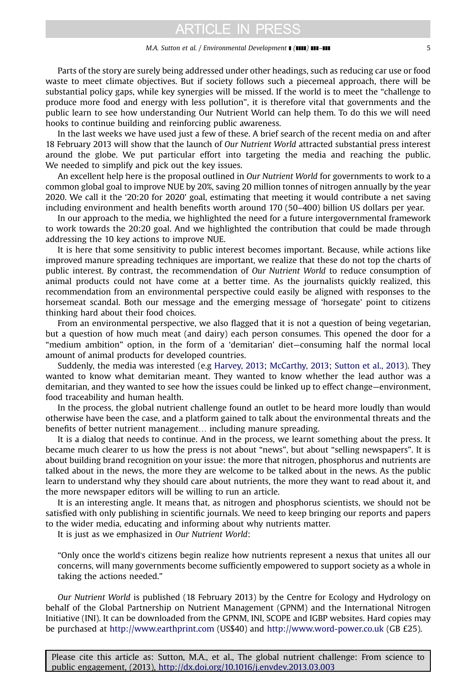Parts of the story are surely being addressed under other headings, such as reducing car use or food waste to meet climate objectives. But if society follows such a piecemeal approach, there will be substantial policy gaps, while key synergies will be missed. If the world is to meet the "challenge to produce more food and energy with less pollution", it is therefore vital that governments and the public learn to see how understanding Our Nutrient World can help them. To do this we will need hooks to continue building and reinforcing public awareness.

In the last weeks we have used just a few of these. A brief search of the recent media on and after 18 February 2013 will show that the launch of Our Nutrient World attracted substantial press interest around the globe. We put particular effort into targeting the media and reaching the public. We needed to simplify and pick out the key issues.

An excellent help here is the proposal outlined in Our Nutrient World for governments to work to a common global goal to improve NUE by 20%, saving 20 million tonnes of nitrogen annually by the year 2020. We call it the '20:20 for 2020' goal, estimating that meeting it would contribute a net saving including environment and health benefits worth around 170 (50–400) billion US dollars per year.

In our approach to the media, we highlighted the need for a future intergovernmental framework to work towards the 20:20 goal. And we highlighted the contribution that could be made through addressing the 10 key actions to improve NUE.

It is here that some sensitivity to public interest becomes important. Because, while actions like improved manure spreading techniques are important, we realize that these do not top the charts of public interest. By contrast, the recommendation of Our Nutrient World to reduce consumption of animal products could not have come at a better time. As the journalists quickly realized, this recommendation from an environmental perspective could easily be aligned with responses to the horsemeat scandal. Both our message and the emerging message of 'horsegate' point to citizens thinking hard about their food choices.

From an environmental perspective, we also flagged that it is not a question of being vegetarian, but a question of how much meat (and dairy) each person consumes. This opened the door for a "medium ambition" option, in the form of a 'demitarian' diet—consuming half the normal local amount of animal products for developed countries.

Suddenly, the media was interested (e.g [Harvey, 2013](#page-5-0); [McCarthy, 2013;](#page-5-0) [Sutton et al., 2013\)](#page-5-0). They wanted to know what demitarian meant. They wanted to know whether the lead author was a demitarian, and they wanted to see how the issues could be linked up to effect change—environment, food traceability and human health.

In the process, the global nutrient challenge found an outlet to be heard more loudly than would otherwise have been the case, and a platform gained to talk about the environmental threats and the benefits of better nutrient management… including manure spreading.

It is a dialog that needs to continue. And in the process, we learnt something about the press. It became much clearer to us how the press is not about "news", but about "selling newspapers". It is about building brand recognition on your issue: the more that nitrogen, phosphorus and nutrients are talked about in the news, the more they are welcome to be talked about in the news. As the public learn to understand why they should care about nutrients, the more they want to read about it, and the more newspaper editors will be willing to run an article.

It is an interesting angle. It means that, as nitrogen and phosphorus scientists, we should not be satisfied with only publishing in scientific journals. We need to keep bringing our reports and papers to the wider media, educating and informing about why nutrients matter.

It is just as we emphasized in Our Nutrient World:

"Only once the world's citizens begin realize how nutrients represent a nexus that unites all our concerns, will many governments become sufficiently empowered to support society as a whole in taking the actions needed."

Our Nutrient World is published (18 February 2013) by the Centre for Ecology and Hydrology on behalf of the Global Partnership on Nutrient Management (GPNM) and the International Nitrogen Initiative (INI). It can be downloaded from the GPNM, INI, SCOPE and IGBP websites. Hard copies may be purchased at [http://www.earthprint.com](www.earthprint.com) (US\$40) and [http://www.word-power.co.uk](www.word-power.co.uk) (GB £25).

Please cite this article as: Sutton, M.A., et al., The global nutrient challenge: From science to public engagement, (2013), [http://dx.doi.org/10.1016/j.envdev.2013.03.003](dx.doi.org/10.1016/j.envdev.2013.03.003)